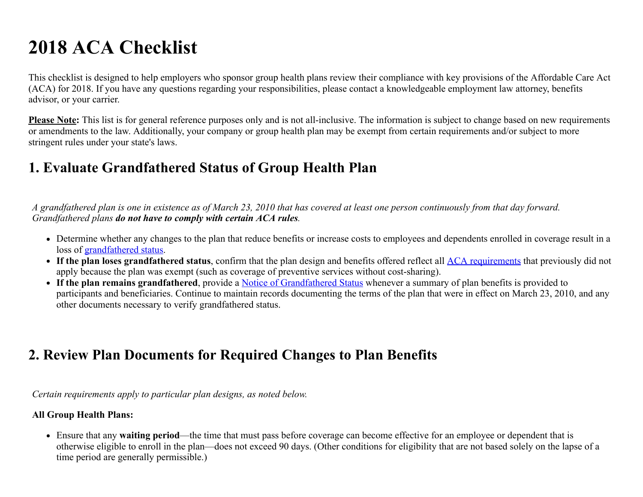# 2018 ACA Checklist

This checklist is designed to help employers who sponsor group health plans review their compliance with key provisions of the Affordable Care Act (ACA) for 2018. If you have any questions regarding your responsibilities, please contact a knowledgeable employment law attorney, benefits advisor, or your carrier.

**Please Note:** This list is for general reference purposes only and is not all-inclusive. The information is subject to change based on new requirements or amendments to the law. Additionally, your company or group health plan may be exempt from certain requirements and/or subject to more stringent rules under your state's laws.

### 1. Evaluate Grandfathered Status of Group Health Plan

*A grandfathered plan is one in existence as of March 23, 2010 that has covered at least one person continuously from that day forward. Grandfathered plans do not have to comply with certain ACA rules.*

- Determine whether any changes to the plan that reduce benefits or increase costs to employees and dependents enrolled in coverage result in a loss of [grandfathered status.](https://www.healthcare.gov/what-if-i-have-a-grandfathered-health-plan/#question=can-a-plan-lose-its-grandfathered-status)
- If the plan loses grandfathered status, confirm that the plan design and benefits offered reflect all [ACA requirements](https://www.healthcare.gov/what-if-i-have-a-grandfathered-health-plan/) that previously did not apply because the plan was exempt (such as coverage of preventive services without cost-sharing).
- If the plan remains grandfathered, provide a [Notice of Grandfathered Status](https://www.dol.gov/agencies/ebsa/laws-and-regulations/laws/affordable-care-act/for-employers-and-advisers/grandfathered-health-plans-model-notice.doc) whenever a summary of plan benefits is provided to participants and beneficiaries. Continue to maintain records documenting the terms of the plan that were in effect on March 23, 2010, and any other documents necessary to verify grandfathered status.

### 2. Review Plan Documents for Required Changes to Plan Benefits

*Certain requirements apply to particular plan designs, as noted below.* 

### All Group Health Plans:

Ensure that any waiting period—the time that must pass before coverage can become effective for an employee or dependent that is otherwise eligible to enroll in the plan—does not exceed 90 days. (Other conditions for eligibility that are not based solely on the lapse of a time period are generally permissible.)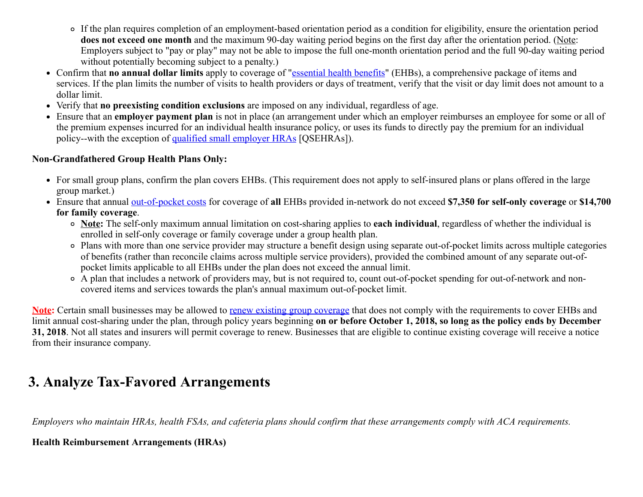- If the plan requires completion of an employment-based orientation period as a condition for eligibility, ensure the orientation period does not exceed one month and the maximum 90-day waiting period begins on the first day after the orientation period. (Note: Employers subject to "pay or play" may not be able to impose the full one-month orientation period and the full 90-day waiting period without potentially becoming subject to a penalty.)
- Confirm that **no annual dollar limits** apply to coverage of "[essential health benefits](https://www.healthcare.gov/glossary/essential-health-benefits)" (EHBs), a comprehensive package of items and services. If the plan limits the number of visits to health providers or days of treatment, verify that the visit or day limit does not amount to a dollar limit.
- Verify that no preexisting condition exclusions are imposed on any individual, regardless of age.
- Ensure that an employer payment plan is not in place (an arrangement under which an employer reimburses an employee for some or all of the premium expenses incurred for an individual health insurance policy, or uses its funds to directly pay the premium for an individual policy--with the exception of [qualified small employer HRAs](#page-2-0) [QSEHRAs]).

#### Non-Grandfathered Group Health Plans Only:

- For small group plans, confirm the plan covers EHBs. (This requirement does not apply to self-insured plans or plans offered in the large group market.)
- Ensure that annual [out-of-pocket costs](https://www.healthcare.gov/glossary/out-of-pocket-costs/) for coverage of all EHBs provided in-network do not exceed \$7,350 for self-only coverage or \$14,700 for family coverage.
	- o Note: The self-only maximum annual limitation on cost-sharing applies to each individual, regardless of whether the individual is enrolled in self-only coverage or family coverage under a group health plan.
	- Plans with more than one service provider may structure a benefit design using separate out-of-pocket limits across multiple categories of benefits (rather than reconcile claims across multiple service providers), provided the combined amount of any separate out-ofpocket limits applicable to all EHBs under the plan does not exceed the annual limit.
	- A plan that includes a network of providers may, but is not required to, count out-of-pocket spending for out-of-network and noncovered items and services towards the plan's annual maximum out-of-pocket limit.

Note: Certain small businesses may be allowed to [renew existing group coverage](https://www.cms.gov/CCIIO/Resources/Regulations-and-Guidance/Downloads/Extension-Transitional-Policy-CY2018.pdf) that does not comply with the requirements to cover EHBs and limit annual cost-sharing under the plan, through policy years beginning on or before October 1, 2018, so long as the policy ends by December 31, 2018. Not all states and insurers will permit coverage to renew. Businesses that are eligible to continue existing coverage will receive a notice from their insurance company.

### 3. Analyze Tax-Favored Arrangements

*Employers who maintain HRAs, health FSAs, and cafeteria plans should confirm that these arrangements comply with ACA requirements.* 

#### Health Reimbursement Arrangements (HRAs)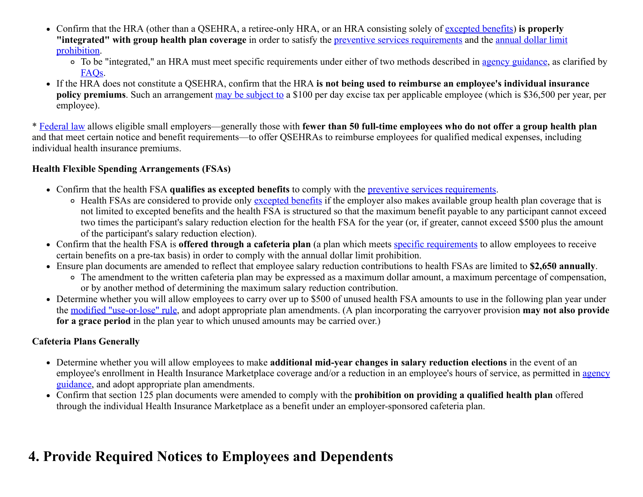- Confirm that the HRA (other than a QSEHRA, a retiree-only HRA, or an HRA consisting solely of [excepted benefits](http://webapps.dol.gov/elaws/ebsa/health/glossary.htm?wd=Excepted_Benefits)) is properly "integrated" with group health plan coverage [in order to satisfy the preventive services requirements and the annual dollar limit](https://www.cms.gov/CCIIO/Programs-and-Initiatives/Health-Insurance-Market-Reforms/Annual-Limits.html) prohibition.
	- o To be "integrated," an HRA must meet specific requirements under either of two methods described in [agency guidance](http://www.dol.gov/ebsa/newsroom/tr13-03.html), as clarified by [FAQs](https://www.dol.gov/sites/default/files/ebsa/about-ebsa/our-activities/resource-center/faqs/aca-part-37.pdf).
- If the HRA does not constitute a QSEHRA, confirm that the HRA is not being used to reimburse an employee's individual insurance policy premiums. Such an arrangement [may be subject to](https://www.irs.gov/affordable-care-act/employer-health-care-arrangements) a \$100 per day excise tax per applicable employee (which is \$36,500 per year, per employee).

<span id="page-2-0"></span>\* [Federal law](https://www.hr360.com/Employee-Benefits/HSAs-FSAs-and-Other-Tax-Favored-Plans/QSEHRAs.aspx) allows eligible small employers—generally those with fewer than 50 full-time employees who do not offer a group health plan and that meet certain notice and benefit requirements—to offer QSEHRAs to reimburse employees for qualified medical expenses, including individual health insurance premiums.

#### Health Flexible Spending Arrangements (FSAs)

- Confirm that the health FSA qualifies as excepted benefits to comply with the [preventive services requirements](https://www.healthcare.gov/what-are-my-preventive-care-benefits/).
	- Health FSAs are considered to provide only [excepted benefits](https://www.dol.gov/agencies/ebsa/employers-and-advisers/guidance/technical-releases/13-03) if the employer also makes available group health plan coverage that is not limited to excepted benefits and the health FSA is structured so that the maximum benefit payable to any participant cannot exceed two times the participant's salary reduction election for the health FSA for the year (or, if greater, cannot exceed \$500 plus the amount of the participant's salary reduction election).
- Confirm that the health FSA is **offered through a cafeteria plan** (a plan which meets [specific requirements](http://www.law.cornell.edu/uscode/text/26/125) to allow employees to receive certain benefits on a pre-tax basis) in order to comply with the annual dollar limit prohibition.
- Ensure plan documents are amended to reflect that employee salary reduction contributions to health FSAs are limited to \$2,650 annually.
	- The amendment to the written cafeteria plan may be expressed as a maximum dollar amount, a maximum percentage of compensation, or by another method of determining the maximum salary reduction contribution.
- Determine whether you will allow employees to carry over up to \$500 of unused health FSA amounts to use in the following plan year under the [modified "use-or-lose" rule](http://www.irs.gov/pub/irs-drop/n-13-71.pdf), and adopt appropriate plan amendments. (A plan incorporating the carryover provision may not also provide for a grace period in the plan year to which unused amounts may be carried over.)

### Cafeteria Plans Generally

- Determine whether you will allow employees to make additional mid-year changes in salary reduction elections in the event of an [employee's enrollment in Health Insurance Marketplace coverage and/or a reduction in an employee's hours of service, as permitted in agency](http://www.irs.gov/pub/irs-drop/n-14-55.pdf) guidance, and adopt appropriate plan amendments.
- Confirm that section 125 plan documents were amended to comply with the prohibition on providing a qualified health plan offered through the individual Health Insurance Marketplace as a benefit under an employer-sponsored cafeteria plan.

### 4. Provide Required Notices to Employees and Dependents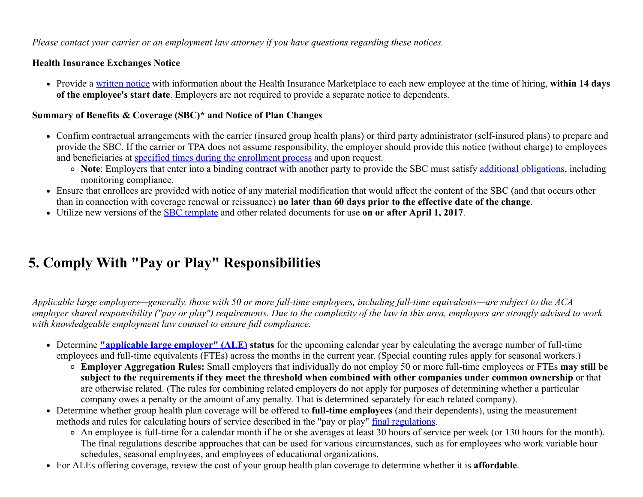*Please contact your carrier or an employment law attorney if you have questions regarding these notices.*

### Health Insurance Exchanges Notice

• Provide a [written notice](https://www.dol.gov/agencies/ebsa/laws-and-regulations/laws/affordable-care-act/for-employers-and-advisers/coverage-options-notice) with information about the Health Insurance Marketplace to each new employee at the time of hiring, within 14 days of the employee's start date. Employers are not required to provide a separate notice to dependents.

### Summary of Benefits & Coverage (SBC)\* and Notice of Plan Changes

- Confirm contractual arrangements with the carrier (insured group health plans) or third party administrator (self-insured plans) to prepare and provide the SBC. If the carrier or TPA does not assume responsibility, the employer should provide this notice (without charge) to employees and beneficiaries at [specified times during the enrollment process](https://www.dol.gov/sites/default/files/ebsa/about-ebsa/our-activities/resource-center/faqs/aca-part-viii.pdf) and upon request.
	- Note: Employers that enter into a binding contract with another party to provide the SBC must satisfy [additional obligations,](https://www.cms.gov/CCIIO/Resources/Fact-Sheets-and-FAQs/Downloads/Fact-Sheet_SBCFinalRule-6-11-15-MM-508.pdf) including monitoring compliance.
- Ensure that enrollees are provided with notice of any material modification that would affect the content of the SBC (and that occurs other than in connection with coverage renewal or reissuance) no later than 60 days prior to the effective date of the change.
- Utilize new versions of the **SBC** template and other related documents for use on or after April 1, 2017.

# 5. Comply With "Pay or Play" Responsibilities

*Applicable large employers—generally, those with 50 or more full-time employees, including full-time equivalents—are subject to the ACA employer shared responsibility ("pay or play") requirements. Due to the complexity of the law in this area, employers are strongly advised to work with knowledgeable employment law counsel to ensure full compliance.*

- Determine <u>"applicable large employer" (ALE)</u> status for the upcoming calendar year by calculating the average number of full-time employees and full-time equivalents (FTEs) across the months in the current year. (Special counting rules apply for seasonal workers.)
	- Employer Aggregation Rules: Small employers that individually do not employ 50 or more full-time employees or FTEs may still be subject to the requirements if they meet the threshold when combined with other companies under common ownership or that are otherwise related. (The rules for combining related employers do not apply for purposes of determining whether a particular company owes a penalty or the amount of any penalty. That is determined separately for each related company).
- Determine whether group health plan coverage will be offered to full-time employees (and their dependents), using the measurement methods and rules for calculating hours of service described in the "pay or play" [final regulations](http://www.gpo.gov/fdsys/pkg/FR-2014-02-12/pdf/2014-03082.pdf).
	- An employee is full-time for a calendar month if he or she averages at least 30 hours of service per week (or 130 hours for the month). The final regulations describe approaches that can be used for various circumstances, such as for employees who work variable hour schedules, seasonal employees, and employees of educational organizations.
- For ALEs offering coverage, review the cost of your group health plan coverage to determine whether it is affordable.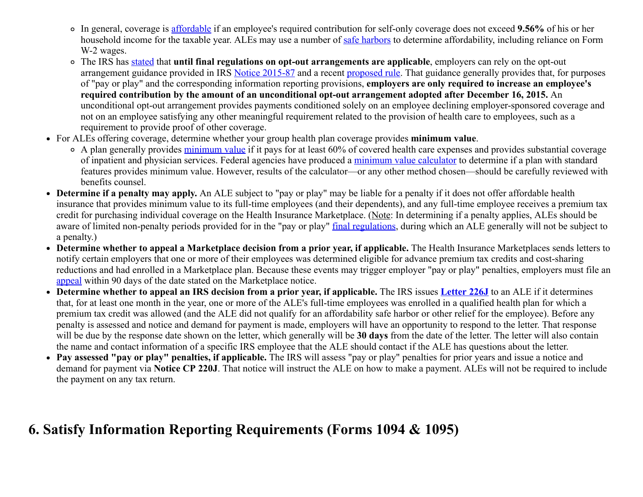- In general, coverage is [affordable](https://www.irs.gov/Affordable-Care-Act/Employers/Minimum-Value-and-Affordability) if an employee's required contribution for self-only coverage does not exceed 9.56% of his or her household income for the taxable year. ALEs may use a number of [safe harbors](https://www.irs.gov/Affordable-Care-Act/Employers/Minimum-Value-and-Affordability) to determine affordability, including reliance on Form W-2 wages.
- o The IRS has [stated](https://www.gpo.gov/fdsys/pkg/FR-2016-12-19/pdf/2016-30037.pdf) that until final regulations on opt-out arrangements are applicable, employers can rely on the opt-out arrangement guidance provided in IRS [Notice 2015-87](https://www.irs.gov/pub/irs-drop/n-15-87.pdf) and a recent [proposed rule](https://www.gpo.gov/fdsys/pkg/FR-2016-07-08/pdf/2016-15940.pdf). That guidance generally provides that, for purposes of "pay or play" and the corresponding information reporting provisions, employers are only required to increase an employee's required contribution by the amount of an unconditional opt-out arrangement adopted after December 16, 2015. An unconditional opt-out arrangement provides payments conditioned solely on an employee declining employer-sponsored coverage and not on an employee satisfying any other meaningful requirement related to the provision of health care to employees, such as a requirement to provide proof of other coverage.
- For ALEs offering coverage, determine whether your group health plan coverage provides minimum value.
	- o A plan generally provides [minimum value](https://www.healthcare.gov/glossary/minimum-value/) if it pays for at least 60% of covered health care expenses and provides substantial coverage of inpatient and physician services. Federal agencies have produced a [minimum value calculator](http://www.cms.gov/CCIIO/Resources/Regulations-and-Guidance/Downloads/mv-calculator-final-4-11-2013.xlsm) to determine if a plan with standard features provides minimum value. However, results of the calculator—or any other method chosen—should be carefully reviewed with benefits counsel.
- Determine if a penalty may apply. An ALE subject to "pay or play" may be liable for a penalty if it does not offer affordable health insurance that provides minimum value to its full-time employees (and their dependents), and any full-time employee receives a premium tax credit for purchasing individual coverage on the Health Insurance Marketplace. (Note: In determining if a penalty applies, ALEs should be aware of limited non-penalty periods provided for in the "pay or play" [final regulations](http://www.gpo.gov/fdsys/pkg/FR-2014-02-12/pdf/2014-03082.pdf), during which an ALE generally will not be subject to a penalty.)
- Determine whether to appeal a Marketplace decision from a prior year, if applicable. The Health Insurance Marketplaces sends letters to notify certain employers that one or more of their employees was determined eligible for advance premium tax credits and cost-sharing reductions and had enrolled in a Marketplace plan. Because these events may trigger employer "pay or play" penalties, employers must file an [appeal](https://www.healthcare.gov/marketplace-appeals/employer-appeals/) within 90 days of the date stated on the Marketplace notice.
- Determine whether to appeal an IRS decision from a prior year, if applicable. The IRS issues [Letter 226J](https://www.irs.gov/individuals/understanding-your-letter-226-j) to an ALE if it determines that, for at least one month in the year, one or more of the ALE's full-time employees was enrolled in a qualified health plan for which a premium tax credit was allowed (and the ALE did not qualify for an affordability safe harbor or other relief for the employee). Before any penalty is assessed and notice and demand for payment is made, employers will have an opportunity to respond to the letter. That response will be due by the response date shown on the letter, which generally will be 30 days from the date of the letter. The letter will also contain the name and contact information of a specific IRS employee that the ALE should contact if the ALE has questions about the letter.
- Pay assessed "pay or play" penalties, if applicable. The IRS will assess "pay or play" penalties for prior years and issue a notice and demand for payment via Notice CP 220J. That notice will instruct the ALE on how to make a payment. ALEs will not be required to include the payment on any tax return.

### 6. Satisfy Information Reporting Requirements (Forms 1094 & 1095)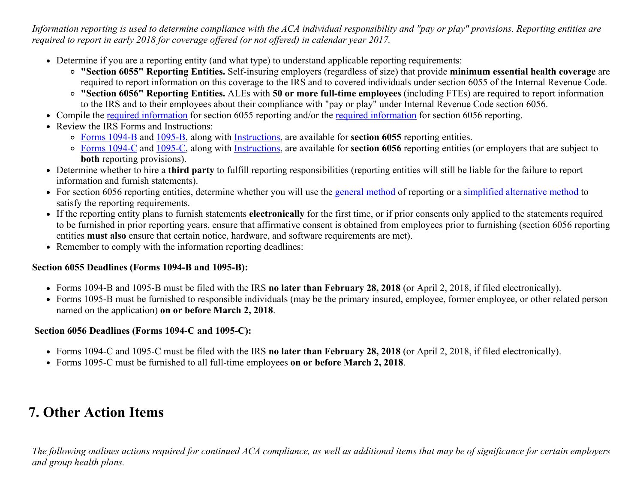*Information reporting is used to determine compliance with the ACA individual responsibility and "pay or play" provisions. Reporting entities are required to report in early 2018 for coverage offered (or not offered) in calendar year 2017.* 

- Determine if you are a reporting entity (and what type) to understand applicable reporting requirements:
	- "Section 6055" Reporting Entities. Self-insuring employers (regardless of size) that provide minimum essential health coverage are required to report information on this coverage to the IRS and to covered individuals under section 6055 of the Internal Revenue Code.
	- "Section 6056" Reporting Entities. ALEs with 50 or more full-time employees (including FTEs) are required to report information to the IRS and to their employees about their compliance with "pay or play" under Internal Revenue Code section 6056.
- Compile the <u>[required information](http://www.irs.gov/uac/Questions-and-Answers-on-Reporting-of-Offers-of-Health-Insurance-Coverage-by-Employers-Section-6056#What%20Information%20Must%20ALE%20Members%20Report)</u> for section 6055 reporting and/or the <u>required information</u> for section 6056 reporting.
- Review the IRS Forms and Instructions:
	- o [Forms 1094-B](http://www.irs.gov/uac/About-Form-1094-B) and [1095-B](http://www.irs.gov/uac/About-Form-1095-B), along with [Instructions,](http://www.irs.gov/pub/irs-pdf/i109495b.pdf) are available for section 6055 reporting entities.
	- [Forms 1094-C](http://www.irs.gov/uac/About-Form-1094-C) and [1095-C](http://www.irs.gov/uac/About-Form-1095-C), along with [Instructions,](http://www.irs.gov/pub/irs-pdf/i109495c.pdf) are available for section 6056 reporting entities (or employers that are subject to both reporting provisions).
- Determine whether to hire a third party to fulfill reporting responsibilities (reporting entities will still be liable for the failure to report information and furnish statements).
- For section 6056 reporting entities, determine whether you will use the [general method](http://www.irs.gov/uac/Questions-and-Answers-on-Reporting-of-Offers-of-Health-Insurance-Coverage-by-Employers-Section-6056#Methods%20of%20Reporting) of reporting or a [simplified alternative method](http://www.irs.gov/uac/Questions-and-Answers-on-Reporting-of-Offers-of-Health-Insurance-Coverage-by-Employers-Section-6056#Methods%20of%20Reporting) to satisfy the reporting requirements.
- If the reporting entity plans to furnish statements electronically for the first time, or if prior consents only applied to the statements required to be furnished in prior reporting years, ensure that affirmative consent is obtained from employees prior to furnishing (section 6056 reporting entities must also ensure that certain notice, hardware, and software requirements are met).
- Remember to comply with the information reporting deadlines:

### Section 6055 Deadlines (Forms 1094-B and 1095-B):

- Forms 1094-B and 1095-B must be filed with the IRS **no later than February 28, 2018** (or April 2, 2018, if filed electronically).
- Forms 1095-B must be furnished to responsible individuals (may be the primary insured, employee, former employee, or other related person named on the application) on or before March 2, 2018.

### Section 6056 Deadlines (Forms 1094-C and 1095-C):

- Forms 1094-C and 1095-C must be filed with the IRS **no later than February 28, 2018** (or April 2, 2018, if filed electronically).
- Forms 1095-C must be furnished to all full-time employees on or before March 2, 2018.

# 7. Other Action Items

*The following outlines actions required for continued ACA compliance, as well as additional items that may be of significance for certain employers and group health plans.*